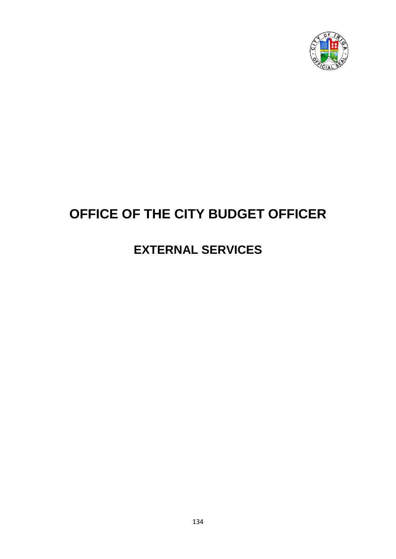

## **OFFICE OF THE CITY BUDGET OFFICER**

## **EXTERNAL SERVICES**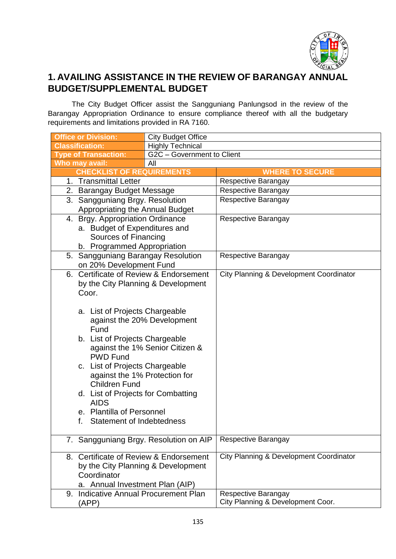

## **1. AVAILING ASSISTANCE IN THE REVIEW OF BARANGAY ANNUAL BUDGET/SUPPLEMENTAL BUDGET**

The City Budget Officer assist the Sangguniang Panlungsod in the review of the Barangay Appropriation Ordinance to ensure compliance thereof with all the budgetary requirements and limitations provided in RA 7160.

| <b>Office or Division:</b>             | <b>City Budget Office</b>   |                                         |  |  |  |
|----------------------------------------|-----------------------------|-----------------------------------------|--|--|--|
| <b>Classification:</b>                 | <b>Highly Technical</b>     |                                         |  |  |  |
| <b>Type of Transaction:</b>            | G2C - Government to Client  |                                         |  |  |  |
| Who may avail:                         | All                         |                                         |  |  |  |
| <b>CHECKLIST OF REQUIREMENTS</b>       |                             | <b>WHERE TO SECURE</b>                  |  |  |  |
| 1. Transmittal Letter                  |                             | Respective Barangay                     |  |  |  |
| 2. Barangay Budget Message             |                             | Respective Barangay                     |  |  |  |
| 3. Sangguniang Brgy. Resolution        |                             | Respective Barangay                     |  |  |  |
| Appropriating the Annual Budget        |                             |                                         |  |  |  |
| 4. Brgy. Appropriation Ordinance       |                             | Respective Barangay                     |  |  |  |
| a. Budget of Expenditures and          |                             |                                         |  |  |  |
| Sources of Financing                   |                             |                                         |  |  |  |
| b. Programmed Appropriation            |                             |                                         |  |  |  |
| 5. Sangguniang Barangay Resolution     |                             | Respective Barangay                     |  |  |  |
| on 20% Development Fund                |                             |                                         |  |  |  |
| 6. Certificate of Review & Endorsement |                             | City Planning & Development Coordinator |  |  |  |
| by the City Planning & Development     |                             |                                         |  |  |  |
| Coor.                                  |                             |                                         |  |  |  |
|                                        |                             |                                         |  |  |  |
| a. List of Projects Chargeable         |                             |                                         |  |  |  |
|                                        | against the 20% Development |                                         |  |  |  |
| Fund                                   |                             |                                         |  |  |  |
| b. List of Projects Chargeable         |                             |                                         |  |  |  |
| against the 1% Senior Citizen &        |                             |                                         |  |  |  |
| <b>PWD Fund</b>                        |                             |                                         |  |  |  |
| c. List of Projects Chargeable         |                             |                                         |  |  |  |
| against the 1% Protection for          |                             |                                         |  |  |  |
| <b>Children Fund</b>                   |                             |                                         |  |  |  |
| d. List of Projects for Combatting     |                             |                                         |  |  |  |
| <b>AIDS</b>                            |                             |                                         |  |  |  |
| e. Plantilla of Personnel              |                             |                                         |  |  |  |
| <b>Statement of Indebtedness</b><br>f. |                             |                                         |  |  |  |
|                                        |                             |                                         |  |  |  |
| 7. Sangguniang Brgy. Resolution on AIP |                             | Respective Barangay                     |  |  |  |
|                                        |                             |                                         |  |  |  |
| 8. Certificate of Review & Endorsement |                             | City Planning & Development Coordinator |  |  |  |
| by the City Planning & Development     |                             |                                         |  |  |  |
| Coordinator                            |                             |                                         |  |  |  |
| a. Annual Investment Plan (AIP)        |                             |                                         |  |  |  |
| 9. Indicative Annual Procurement Plan  |                             | Respective Barangay                     |  |  |  |
| (APP)                                  |                             | City Planning & Development Coor.       |  |  |  |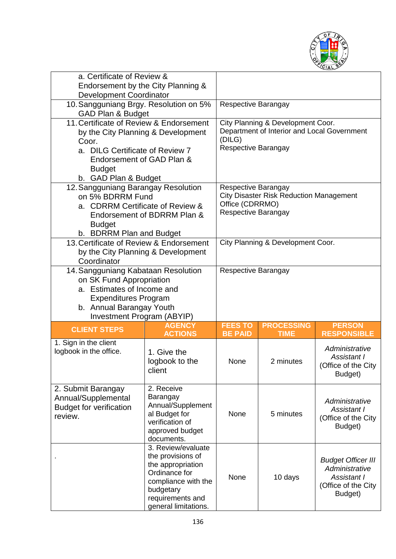

| a. Certificate of Review &<br>Endorsement by the City Planning &<br><b>Development Coordinator</b>                                                                                              |                                                                                                                                                               |                                                                                                                 |                                                                                  |                                                                                              |
|-------------------------------------------------------------------------------------------------------------------------------------------------------------------------------------------------|---------------------------------------------------------------------------------------------------------------------------------------------------------------|-----------------------------------------------------------------------------------------------------------------|----------------------------------------------------------------------------------|----------------------------------------------------------------------------------------------|
| 10. Sangguniang Brgy. Resolution on 5%<br>GAD Plan & Budget                                                                                                                                     |                                                                                                                                                               | Respective Barangay                                                                                             |                                                                                  |                                                                                              |
| 11. Certificate of Review & Endorsement<br>by the City Planning & Development<br>Coor.<br>a. DILG Certificate of Review 7<br>Endorsement of GAD Plan &<br><b>Budget</b><br>b. GAD Plan & Budget |                                                                                                                                                               | (DILG)<br>Respective Barangay                                                                                   | City Planning & Development Coor.<br>Department of Interior and Local Government |                                                                                              |
| 12. Sangguniang Barangay Resolution<br>on 5% BDRRM Fund<br>a. CDRRM Certificate of Review &<br>Endorsement of BDRRM Plan &<br><b>Budget</b><br>b. BDRRM Plan and Budget                         |                                                                                                                                                               | Respective Barangay<br><b>City Disaster Risk Reduction Management</b><br>Office (CDRRMO)<br>Respective Barangay |                                                                                  |                                                                                              |
| 13. Certificate of Review & Endorsement<br>by the City Planning & Development<br>Coordinator                                                                                                    |                                                                                                                                                               | City Planning & Development Coor.                                                                               |                                                                                  |                                                                                              |
| 14. Sangguniang Kabataan Resolution<br>on SK Fund Appropriation<br>a. Estimates of Income and<br><b>Expenditures Program</b><br>b. Annual Barangay Youth<br>Investment Program (ABYIP)          |                                                                                                                                                               | Respective Barangay                                                                                             |                                                                                  |                                                                                              |
| <b>CLIENT STEPS</b>                                                                                                                                                                             | <b>AGENCY</b><br><b>ACTIONS</b>                                                                                                                               | <b>FEES TO</b><br><b>BE PAID</b>                                                                                | <b>PROCESSING</b><br><b>TIME</b>                                                 | <b>PERSON</b><br><b>RESPONSIBLE</b>                                                          |
| 1. Sign in the client<br>logbook in the office.                                                                                                                                                 | 1. Give the<br>logbook to the<br>client                                                                                                                       | None                                                                                                            | 2 minutes                                                                        | Administrative<br>Assistant I<br>Office of the City<br>Budget)                               |
| 2. Submit Barangay<br>Annual/Supplemental<br><b>Budget for verification</b><br>review.                                                                                                          | 2. Receive<br>Barangay<br>Annual/Supplement<br>al Budget for<br>verification of<br>approved budget<br>documents.                                              | None                                                                                                            | 5 minutes                                                                        | Administrative<br>Assistant I<br>(Office of the City<br>Budget)                              |
|                                                                                                                                                                                                 | 3. Review/evaluate<br>the provisions of<br>the appropriation<br>Ordinance for<br>compliance with the<br>budgetary<br>requirements and<br>general limitations. | None                                                                                                            | 10 days                                                                          | <b>Budget Officer III</b><br>Administrative<br>Assistant I<br>(Office of the City<br>Budget) |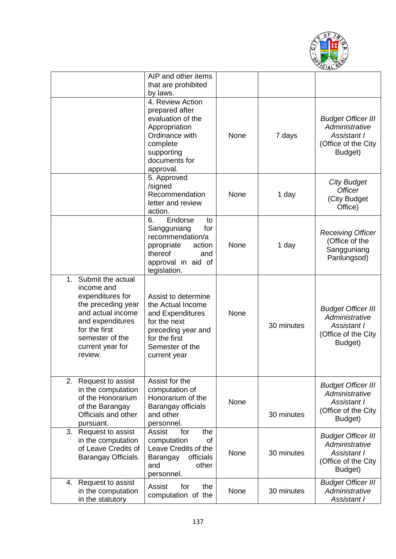

|                                                                                                                                                                                             | AIP and other items<br>that are prohibited<br>by laws.                                                                                                 |      |            |                                                                                              |
|---------------------------------------------------------------------------------------------------------------------------------------------------------------------------------------------|--------------------------------------------------------------------------------------------------------------------------------------------------------|------|------------|----------------------------------------------------------------------------------------------|
|                                                                                                                                                                                             | 4. Review Action<br>prepared after<br>evaluation of the<br>Appropriation<br>Ordinance with<br>complete<br>supporting<br>documents for<br>approval.     | None | 7 days     | <b>Budget Officer III</b><br>Administrative<br>Assistant I<br>(Office of the City<br>Budget) |
|                                                                                                                                                                                             | 5. Approved<br>/signed<br>Recommendation<br>letter and review<br>action.                                                                               | None | 1 day      | <b>City Budget</b><br><b>Officer</b><br>(City Budget<br>Office)                              |
|                                                                                                                                                                                             | Endorse<br>6.<br>to<br>Sangguniang<br>for<br>recommendation/a<br>ppropriate<br>action<br>thereof<br>and<br>approval in aid of<br>legislation.          | None | 1 day      | <b>Receiving Officer</b><br>(Office of the<br>Sangguniang<br>Panlungsod)                     |
| Submit the actual<br>1.<br>income and<br>expenditures for<br>the preceding year<br>and actual income<br>and expenditures<br>for the first<br>semester of the<br>current year for<br>review. | Assist to determine<br>the Actual Income<br>and Expenditures<br>for the next<br>preceding year and<br>for the first<br>Semester of the<br>current year | None | 30 minutes | <b>Budget Officer III</b><br>Administrative<br>Assistant I<br>(Office of the City<br>Budget) |
| 2.<br>Request to assist<br>in the computation<br>of the Honorarium<br>of the Barangay<br>Officials and other<br>pursuant.                                                                   | Assist for the<br>computation of<br>Honorarium of the<br>Barangay officials<br>and other<br>personnel.                                                 | None | 30 minutes | <b>Budget Officer III</b><br>Administrative<br>Assistant I<br>(Office of the City<br>Budget) |
| 3. Request to assist<br>in the computation<br>of Leave Credits of<br>Barangay Officials.                                                                                                    | for<br>the<br>Assist<br>computation<br>of<br>Leave Credits of the<br>officials<br>Barangay<br>other<br>and<br>personnel.                               | None | 30 minutes | <b>Budget Officer III</b><br>Administrative<br>Assistant I<br>(Office of the City<br>Budget) |
| Request to assist<br>4.<br>in the computation<br>in the statutory                                                                                                                           | the<br>Assist<br>for<br>computation of the                                                                                                             | None | 30 minutes | <b>Budget Officer III</b><br>Administrative<br>Assistant I                                   |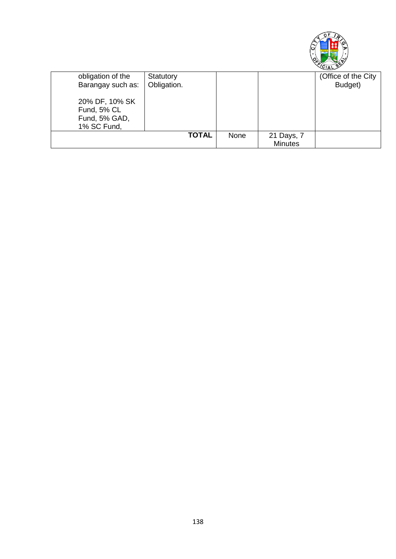

|                   |              |      |                | ິ                   |
|-------------------|--------------|------|----------------|---------------------|
| obligation of the | Statutory    |      |                | (Office of the City |
| Barangay such as: | Obligation.  |      |                | Budget)             |
|                   |              |      |                |                     |
| 20% DF, 10% SK    |              |      |                |                     |
| Fund, 5% CL       |              |      |                |                     |
| Fund, 5% GAD,     |              |      |                |                     |
| 1% SC Fund,       |              |      |                |                     |
|                   | <b>TOTAL</b> | None | 21 Days, 7     |                     |
|                   |              |      | <b>Minutes</b> |                     |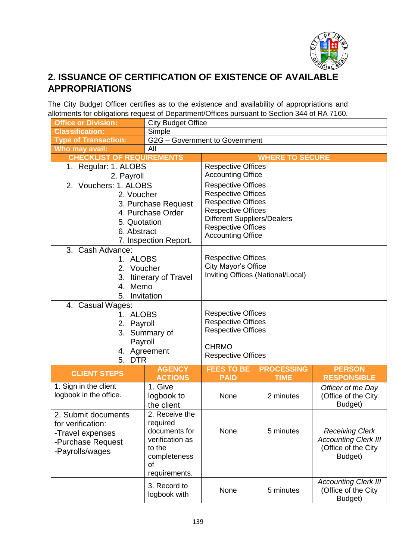

## **2. ISSUANCE OF CERTIFICATION OF EXISTENCE OF AVAILABLE APPROPRIATIONS**

The City Budget Officer certifies as to the existence and availability of appropriations and allotments for obligations request of Department/Offices pursuant to Section 344 of RA 7160.

| <b>Office or Division:</b>       | <b>City Budget Office</b>  |                                                        |                                                                 |                             |  |
|----------------------------------|----------------------------|--------------------------------------------------------|-----------------------------------------------------------------|-----------------------------|--|
| <b>Classification:</b>           | Simple                     |                                                        |                                                                 |                             |  |
| <b>Type of Transaction:</b>      |                            | G2G - Government to Government                         |                                                                 |                             |  |
| Who may avail:                   | All                        |                                                        |                                                                 |                             |  |
| <b>CHECKLIST OF REQUIREMENTS</b> |                            |                                                        | <b>WHERE TO SECURE</b>                                          |                             |  |
| 1. Regular: 1. ALOBS             |                            | <b>Respective Offices</b>                              |                                                                 |                             |  |
| 2. Payroll                       |                            | <b>Accounting Office</b>                               |                                                                 |                             |  |
| 2. Vouchers: 1. ALOBS            |                            | <b>Respective Offices</b>                              |                                                                 |                             |  |
| 2. Voucher                       |                            | <b>Respective Offices</b>                              |                                                                 |                             |  |
|                                  | 3. Purchase Request        | <b>Respective Offices</b>                              |                                                                 |                             |  |
|                                  | 4. Purchase Order          | <b>Respective Offices</b>                              |                                                                 |                             |  |
| 5. Quotation                     |                            |                                                        | <b>Different Suppliers/Dealers</b><br><b>Respective Offices</b> |                             |  |
| 6. Abstract                      |                            | <b>Accounting Office</b>                               |                                                                 |                             |  |
|                                  | 7. Inspection Report.      |                                                        |                                                                 |                             |  |
| 3.<br>Cash Advance:              |                            |                                                        |                                                                 |                             |  |
| 1. ALOBS                         |                            | <b>Respective Offices</b>                              |                                                                 |                             |  |
| 2. Voucher                       |                            | City Mayor's Office                                    | Inviting Offices (National/Local)                               |                             |  |
| 3.                               | <b>Itinerary of Travel</b> |                                                        |                                                                 |                             |  |
| Memo<br>4.                       |                            |                                                        |                                                                 |                             |  |
| 5. Invitation                    |                            |                                                        |                                                                 |                             |  |
| 4. Casual Wages:                 |                            |                                                        |                                                                 |                             |  |
| 1. ALOBS                         |                            | <b>Respective Offices</b>                              |                                                                 |                             |  |
| 2. Payroll                       |                            | <b>Respective Offices</b><br><b>Respective Offices</b> |                                                                 |                             |  |
| 3. Summary of                    |                            |                                                        |                                                                 |                             |  |
| Payroll                          |                            | <b>CHRMO</b>                                           |                                                                 |                             |  |
| 5. DTR                           | 4. Agreement               | <b>Respective Offices</b>                              |                                                                 |                             |  |
|                                  | <b>AGENCY</b>              | <b>FEES TO BE</b>                                      | <b>PROCESSING</b>                                               | <b>PERSON</b>               |  |
| <b>CLIENT STEPS</b>              | <b>ACTIONS</b>             | <b>PAID</b>                                            | <b>TIME</b>                                                     | <b>RESPONSIBLE</b>          |  |
| 1. Sign in the client            | 1. Give                    |                                                        |                                                                 | Officer of the Day          |  |
| logbook in the office.           | logbook to                 | None                                                   | 2 minutes                                                       | (Office of the City         |  |
|                                  | the client                 |                                                        |                                                                 | Budget)                     |  |
| 2. Submit documents              | 2. Receive the             |                                                        |                                                                 |                             |  |
| for verification:                | required                   |                                                        |                                                                 |                             |  |
| -Travel expenses                 | documents for              | None                                                   | 5 minutes                                                       | <b>Receiving Clerk</b>      |  |
| -Purchase Request                | verification as            |                                                        |                                                                 | <b>Accounting Clerk III</b> |  |
| -Payrolls/wages                  | to the                     |                                                        |                                                                 | (Office of the City         |  |
|                                  | completeness               |                                                        |                                                                 | Budget)                     |  |
|                                  | οf                         |                                                        |                                                                 |                             |  |
|                                  | requirements.              |                                                        |                                                                 | <b>Accounting Clerk III</b> |  |
|                                  | 3. Record to               | None                                                   | 5 minutes                                                       | (Office of the City         |  |
|                                  | logbook with               |                                                        |                                                                 | Budget)                     |  |